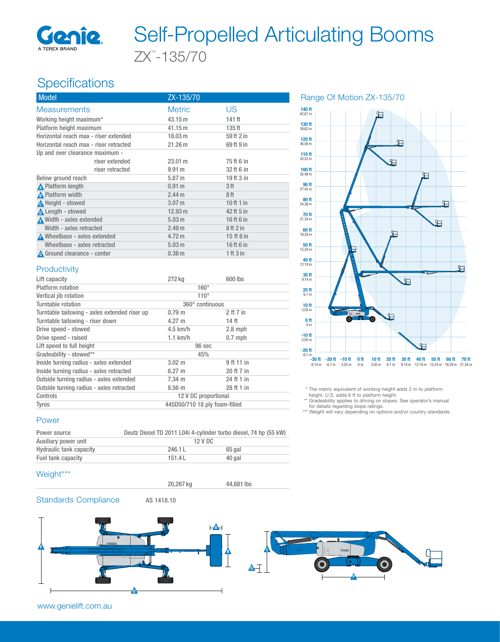

# ZX™ -135/70 Self-Propelled Articulating Booms

### **Specifications**

| <b>Model</b>                           | ZX-135/70         |                   |
|----------------------------------------|-------------------|-------------------|
| <b>Measurements</b>                    | <b>Metric</b>     | US                |
| Working height maximum*                | 43.15 m           | 141 ft            |
| Platform height maximum                | 41.15 m           | 135 <sup>ft</sup> |
| Horizontal reach max - riser extended  | 18.03 m           | 59 ft 2 in        |
| Horizontal reach max - riser retracted | 21.26 m           | 69 ft 9 in        |
| Up and over clearance maximum -        |                   |                   |
| riser extended                         | 23.01 m           | 75 ft 6 in        |
| riser retracted                        | 9.91 m            | 32 ft 6 in        |
| Below ground reach                     | 5.87 m            | 19 ft 3 in        |
| <b>A</b> Platform length               | 0.91 <sub>m</sub> | 3ft               |
| <b>A</b> Platform width                | 2.44 <sub>m</sub> | 8ft               |
| <b>A</b> Height - stowed               | 3.07 <sub>m</sub> | 10 ft 1 in        |
| <b>A</b> Length - stowed               | 12.93 m           | 42 ft 5 in        |
| A Width - axles extended               | 5.03 <sub>m</sub> | 16 ft 6 in        |
| Width - axles retracted                | 2.49 <sub>m</sub> | 8ft2in            |
| A Wheelbase - axles extended           | 4.72 m            | 15 ft 6 in        |
| Wheelbase - axles retracted            | 5.03 <sub>m</sub> | 16 ft 6 in        |
| A Ground clearance - center            | 0.38 <sub>m</sub> | 1 ft 3 in         |
|                                        |                   |                   |

Lift capacity 600 lbs

Inside turning radius - axles extended 3.02 m 9 ft 11 in Inside turning radius - axles retracted 6.27 m 20 ft 7 in Outside turning radius - axles extended 7.34 m 24 ft 1 in Outside turning radius - axles retracted 8.56 m 28 ft 1 in Controls 12 V DC proportional Tyres 445D50/710 18 ply foam-filled

Platform rotation 160° Vertical jib rotation 110° Turntable rotation 360° continuous Turntable tailswing - axles extended riser up 0.79 m 2 ft 7 in Turntable tailswing - riser down 4.27 m 14 ft Drive speed - stowed 4.5 km/h 2.8 mph Drive speed - raised 1.1 km/h 0.7 mph

Lift speed to full height 96 sec Gradeability - stowed\*\* 45%

#### Range Of Motion ZX-135/70



\* The metric equivalent of working height adds 2 m to platform

height. U.S. adds 6 ft to platform height.

Gradeability applies to driving on slopes. See operator's manual for details regarding slope ratings.

\*\*\* Weight will vary depending on options and/or country standards.

#### Power

**Productivity** 

| Power source                   | Deutz Diesel TD 2011 L04i 4-cylinder turbo diesel, 74 hp (55 kW) |        |
|--------------------------------|------------------------------------------------------------------|--------|
| Auxiliary power unit           | 12 V DC                                                          |        |
| <b>Hydraulic tank capacity</b> | 246.1L                                                           | 65 gal |
| Fuel tank capacity             | 151.4L                                                           | 40 gal |

#### Weight\*\*\*

20,267 kg 44,681 lbs

#### Standards Compliance AS 1418.10

 $\mathbf{A}$ E  $\circ$ C B  $\blacksquare$ F D

www.genielift.com.au